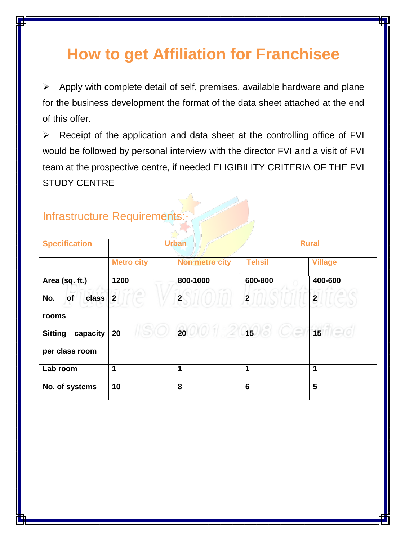# **How to get Affiliation for Franchisee**

 $\triangleright$  Apply with complete detail of self, premises, available hardware and plane for the business development the format of the data sheet attached at the end of this offer.

 $\triangleright$  Receipt of the application and data sheet at the controlling office of FVI would be followed by personal interview with the director FVI and a visit of FVI team at the prospective centre, if needed ELIGIBILITY CRITERIA OF THE FVI STUDY CENTRE

| <b>Specification</b>                         | <b>Urban</b>      |                       | <b>Rural</b>    |                         |
|----------------------------------------------|-------------------|-----------------------|-----------------|-------------------------|
|                                              | <b>Metro city</b> | <b>Non metro city</b> | <b>Tehsil</b>   | <b>Village</b>          |
| Area (sq. ft.)                               | 1200              | 800-1000              | 600-800         | 400-600                 |
| No.<br>of<br>class<br>rooms                  | $\overline{2}$    | $\overline{2}$        | $\overline{2}$  | $\overline{\mathbf{c}}$ |
| <b>Sitting</b><br>capacity<br>per class room | 20                | 20                    | 15              | 15                      |
| Lab room                                     | 1                 | 1                     | 1               | 1                       |
| No. of systems                               | 10                | 8                     | $6\phantom{1}6$ | 5                       |

### Infrastructure Requirements:-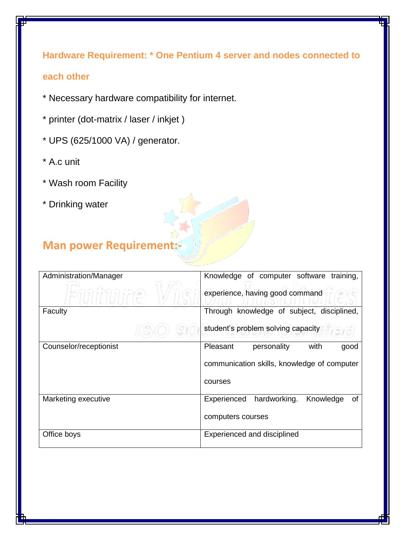**Hardware Requirement: \* One Pentium 4 server and nodes connected to each other** 

- \* Necessary hardware compatibility for internet.
- \* printer (dot-matrix / laser / inkjet )
- \* UPS (625/1000 VA) / generator.
- \* A.c unit
- \* Wash room Facility
- \* Drinking water

## **Man power Requirement:-**

| Administration/Manager | Knowledge of computer software training,       |  |  |
|------------------------|------------------------------------------------|--|--|
|                        | experience, having good command                |  |  |
| Faculty                | Through knowledge of subject, disciplined,     |  |  |
|                        | student's problem solving capacity             |  |  |
| Counselor/receptionist | Pleasant<br>with<br>personality<br>good        |  |  |
|                        | communication skills, knowledge of computer    |  |  |
|                        | courses                                        |  |  |
| Marketing executive    | hardworking.<br>Knowledge<br>Experienced<br>0f |  |  |
|                        | computers courses                              |  |  |
| Office boys            | Experienced and disciplined                    |  |  |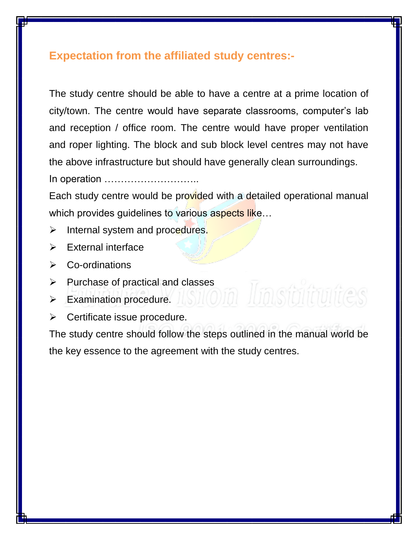#### **Expectation from the affiliated study centres:-**

The study centre should be able to have a centre at a prime location of city/town. The centre would have separate classrooms, computer's lab and reception / office room. The centre would have proper ventilation and roper lighting. The block and sub block level centres may not have the above infrastructure but should have generally clean surroundings.

In operation ………………………..

Each study centre would be provided with a detailed operational manual which provides guidelines to various aspects like...

- > Internal system and procedures.
- External interface
- **►** Co-ordinations
- $\triangleright$  Purchase of practical and classes
- Examination procedure.
- $\triangleright$  Certificate issue procedure.

The study centre should follow the steps outlined in the manual world be the key essence to the agreement with the study centres.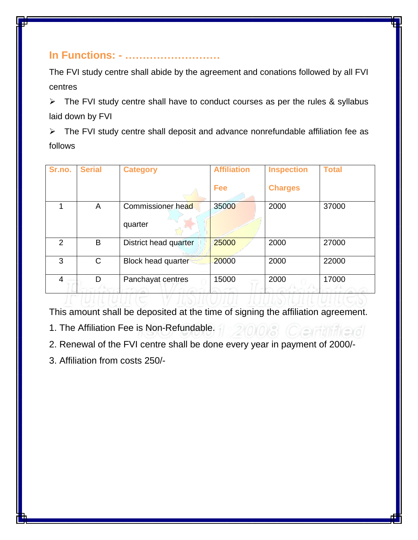#### **In Functions: - ………………………**

The FVI study centre shall abide by the agreement and conations followed by all FVI centres

 $\triangleright$  The FVI study centre shall have to conduct courses as per the rules & syllabus laid down by FVI

 $\triangleright$  The FVI study centre shall deposit and advance nonrefundable affiliation fee as follows

| Sr.no.         | <b>Serial</b> | <b>Category</b>           | <b>Affiliation</b> | <b>Inspection</b> | <b>Total</b> |
|----------------|---------------|---------------------------|--------------------|-------------------|--------------|
|                |               |                           |                    |                   |              |
|                |               |                           |                    |                   |              |
|                |               |                           | <b>Fee</b>         | <b>Charges</b>    |              |
|                |               |                           |                    |                   |              |
|                | A             | Commissioner head         | 35000              | 2000              | 37000        |
|                |               |                           |                    |                   |              |
|                |               |                           |                    |                   |              |
|                |               | quarter                   |                    |                   |              |
|                |               |                           |                    |                   |              |
| $\overline{2}$ | B             | District head quarter     | 25000              | 2000              | 27000        |
|                |               |                           |                    |                   |              |
|                |               |                           |                    |                   |              |
| 3              | C             | <b>Block head quarter</b> | 20000              | 2000              | 22000        |
|                |               |                           |                    |                   |              |
|                |               |                           |                    |                   |              |
| $\overline{4}$ | D             | Panchayat centres         | 15000              | 2000              | 17000        |
|                |               |                           |                    |                   |              |
|                |               |                           |                    |                   |              |
|                |               |                           |                    |                   |              |

This amount shall be deposited at the time of signing the affiliation agreement.

2101018 (Certifitierd

- 1. The Affiliation Fee is Non-Refundable.
- 2. Renewal of the FVI centre shall be done every year in payment of 2000/-
- 3. Affiliation from costs 250/-